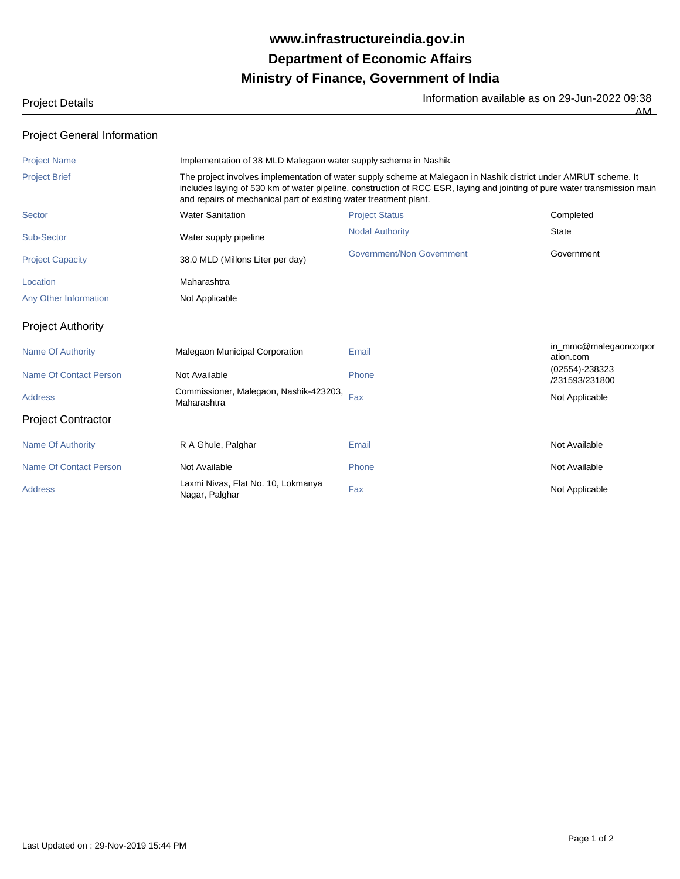## **Ministry of Finance, Government of India Department of Economic Affairs www.infrastructureindia.gov.in**

Project Details **Information available as on 29-Jun-2022** 09:38

AM

## Project General Information

| <b>Project Name</b>           |                                                                                                                                                                                                                                                                                                                    | Implementation of 38 MLD Malegaon water supply scheme in Nashik |                                      |  |
|-------------------------------|--------------------------------------------------------------------------------------------------------------------------------------------------------------------------------------------------------------------------------------------------------------------------------------------------------------------|-----------------------------------------------------------------|--------------------------------------|--|
| <b>Project Brief</b>          | The project involves implementation of water supply scheme at Malegaon in Nashik district under AMRUT scheme. It<br>includes laying of 530 km of water pipeline, construction of RCC ESR, laying and jointing of pure water transmission main<br>and repairs of mechanical part of existing water treatment plant. |                                                                 |                                      |  |
| Sector                        | <b>Water Sanitation</b>                                                                                                                                                                                                                                                                                            | <b>Project Status</b>                                           | Completed                            |  |
| Sub-Sector                    | Water supply pipeline                                                                                                                                                                                                                                                                                              | <b>Nodal Authority</b>                                          | <b>State</b>                         |  |
| <b>Project Capacity</b>       | 38.0 MLD (Millons Liter per day)                                                                                                                                                                                                                                                                                   | Government/Non Government                                       | Government                           |  |
| Location                      | Maharashtra                                                                                                                                                                                                                                                                                                        |                                                                 |                                      |  |
| Any Other Information         | Not Applicable                                                                                                                                                                                                                                                                                                     |                                                                 |                                      |  |
| <b>Project Authority</b>      |                                                                                                                                                                                                                                                                                                                    |                                                                 |                                      |  |
| <b>Name Of Authority</b>      | Malegaon Municipal Corporation                                                                                                                                                                                                                                                                                     | Email                                                           | in_mmc@malegaoncorpor<br>ation.com   |  |
| Name Of Contact Person        | Not Available                                                                                                                                                                                                                                                                                                      | Phone                                                           | $(02554) - 238323$<br>/231593/231800 |  |
| <b>Address</b>                | Commissioner, Malegaon, Nashik-423203,<br>Maharashtra                                                                                                                                                                                                                                                              | Fax                                                             | Not Applicable                       |  |
| <b>Project Contractor</b>     |                                                                                                                                                                                                                                                                                                                    |                                                                 |                                      |  |
| <b>Name Of Authority</b>      | R A Ghule, Palghar                                                                                                                                                                                                                                                                                                 | Email                                                           | Not Available                        |  |
| <b>Name Of Contact Person</b> | Not Available                                                                                                                                                                                                                                                                                                      | Phone                                                           | Not Available                        |  |
| <b>Address</b>                | Laxmi Nivas, Flat No. 10, Lokmanya<br>Nagar, Palghar                                                                                                                                                                                                                                                               | Fax                                                             | Not Applicable                       |  |